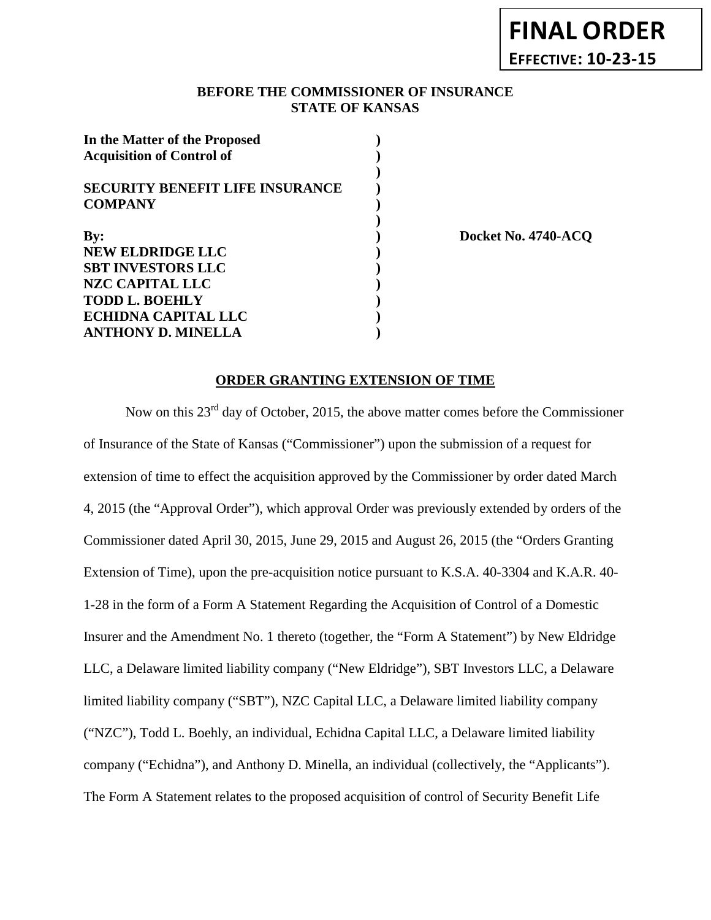## **BEFORE THE COMMISSIONER OF INSURANCE STATE OF KANSAS**

| In the Matter of the Proposed          |  |
|----------------------------------------|--|
| <b>Acquisition of Control of</b>       |  |
|                                        |  |
| <b>SECURITY BENEFIT LIFE INSURANCE</b> |  |
| <b>COMPANY</b>                         |  |
| By:                                    |  |
| <b>NEW ELDRIDGE LLC</b>                |  |
|                                        |  |
| <b>SBT INVESTORS LLC</b>               |  |
| <b>NZC CAPITAL LLC</b>                 |  |
| <b>TODD L. BOEHLY</b>                  |  |
| <b>ECHIDNA CAPITAL LLC</b>             |  |
| <b>ANTHONY D. MINELLA</b>              |  |

**By: ) Docket No. 4740-ACQ**

## **ORDER GRANTING EXTENSION OF TIME**

Now on this 23<sup>rd</sup> day of October, 2015, the above matter comes before the Commissioner of Insurance of the State of Kansas ("Commissioner") upon the submission of a request for extension of time to effect the acquisition approved by the Commissioner by order dated March 4, 2015 (the "Approval Order"), which approval Order was previously extended by orders of the Commissioner dated April 30, 2015, June 29, 2015 and August 26, 2015 (the "Orders Granting Extension of Time), upon the pre-acquisition notice pursuant to K.S.A. 40-3304 and K.A.R. 40- 1-28 in the form of a Form A Statement Regarding the Acquisition of Control of a Domestic Insurer and the Amendment No. 1 thereto (together, the "Form A Statement") by New Eldridge LLC, a Delaware limited liability company ("New Eldridge"), SBT Investors LLC, a Delaware limited liability company ("SBT"), NZC Capital LLC, a Delaware limited liability company ("NZC"), Todd L. Boehly, an individual, Echidna Capital LLC, a Delaware limited liability company ("Echidna"), and Anthony D. Minella, an individual (collectively, the "Applicants"). The Form A Statement relates to the proposed acquisition of control of Security Benefit Life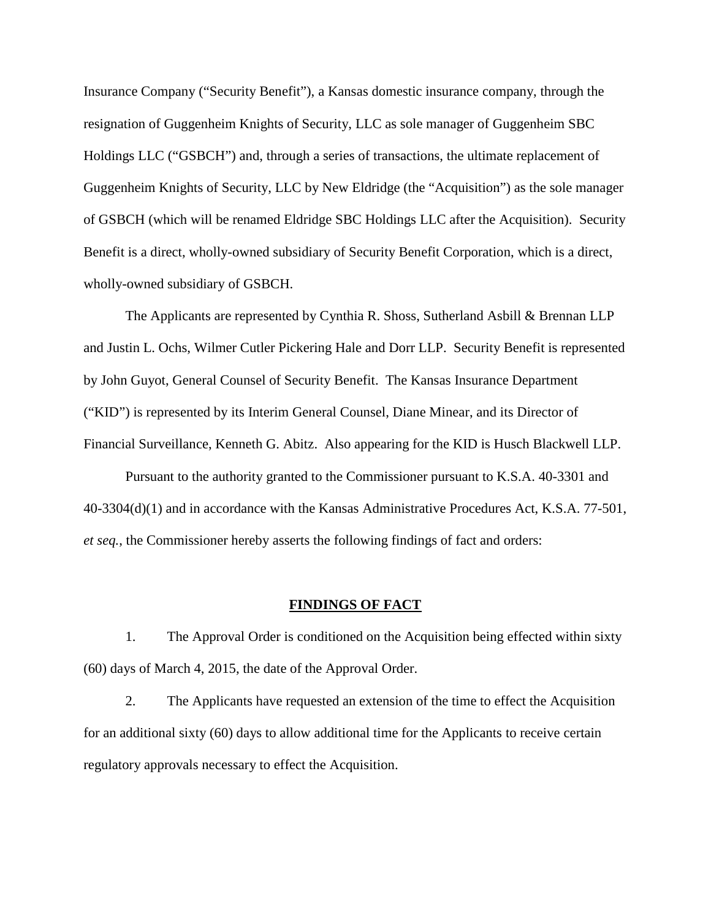Insurance Company ("Security Benefit"), a Kansas domestic insurance company, through the resignation of Guggenheim Knights of Security, LLC as sole manager of Guggenheim SBC Holdings LLC ("GSBCH") and, through a series of transactions, the ultimate replacement of Guggenheim Knights of Security, LLC by New Eldridge (the "Acquisition") as the sole manager of GSBCH (which will be renamed Eldridge SBC Holdings LLC after the Acquisition). Security Benefit is a direct, wholly-owned subsidiary of Security Benefit Corporation, which is a direct, wholly-owned subsidiary of GSBCH.

The Applicants are represented by Cynthia R. Shoss, Sutherland Asbill & Brennan LLP and Justin L. Ochs, Wilmer Cutler Pickering Hale and Dorr LLP. Security Benefit is represented by John Guyot, General Counsel of Security Benefit. The Kansas Insurance Department ("KID") is represented by its Interim General Counsel, Diane Minear, and its Director of Financial Surveillance, Kenneth G. Abitz. Also appearing for the KID is Husch Blackwell LLP.

Pursuant to the authority granted to the Commissioner pursuant to K.S.A. 40-3301 and 40-3304(d)(1) and in accordance with the Kansas Administrative Procedures Act, K.S.A. 77-501, *et seq.*, the Commissioner hereby asserts the following findings of fact and orders:

### **FINDINGS OF FACT**

1. The Approval Order is conditioned on the Acquisition being effected within sixty (60) days of March 4, 2015, the date of the Approval Order.

2. The Applicants have requested an extension of the time to effect the Acquisition for an additional sixty (60) days to allow additional time for the Applicants to receive certain regulatory approvals necessary to effect the Acquisition.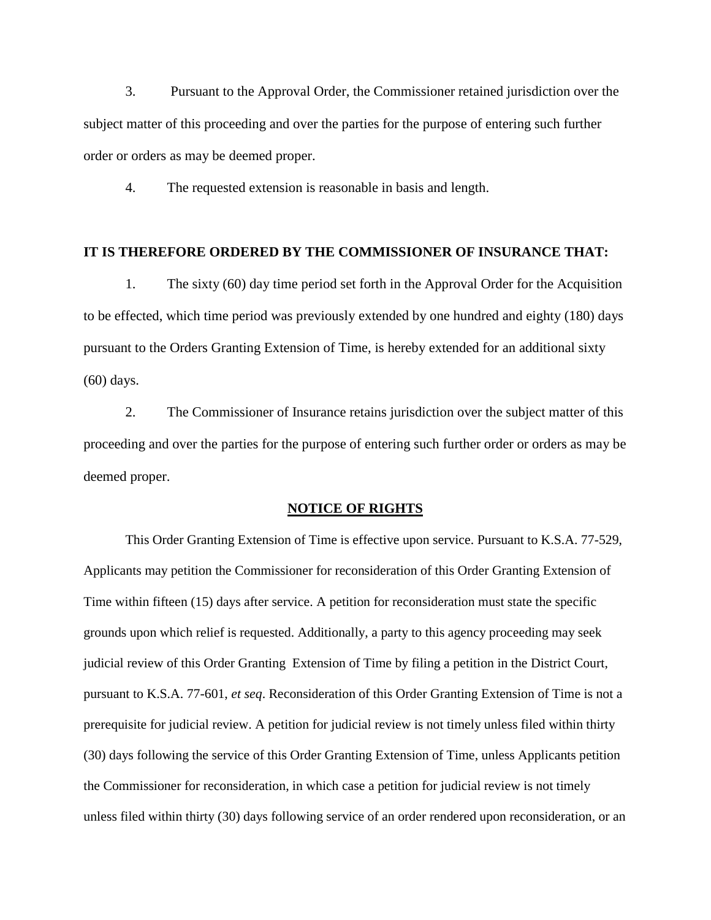3. Pursuant to the Approval Order, the Commissioner retained jurisdiction over the subject matter of this proceeding and over the parties for the purpose of entering such further order or orders as may be deemed proper.

4. The requested extension is reasonable in basis and length.

### **IT IS THEREFORE ORDERED BY THE COMMISSIONER OF INSURANCE THAT:**

1. The sixty (60) day time period set forth in the Approval Order for the Acquisition to be effected, which time period was previously extended by one hundred and eighty (180) days pursuant to the Orders Granting Extension of Time, is hereby extended for an additional sixty (60) days.

2. The Commissioner of Insurance retains jurisdiction over the subject matter of this proceeding and over the parties for the purpose of entering such further order or orders as may be deemed proper.

#### **NOTICE OF RIGHTS**

This Order Granting Extension of Time is effective upon service. Pursuant to K.S.A. 77-529, Applicants may petition the Commissioner for reconsideration of this Order Granting Extension of Time within fifteen (15) days after service. A petition for reconsideration must state the specific grounds upon which relief is requested. Additionally, a party to this agency proceeding may seek judicial review of this Order Granting Extension of Time by filing a petition in the District Court, pursuant to K.S.A. 77-601, *et seq*. Reconsideration of this Order Granting Extension of Time is not a prerequisite for judicial review. A petition for judicial review is not timely unless filed within thirty (30) days following the service of this Order Granting Extension of Time, unless Applicants petition the Commissioner for reconsideration, in which case a petition for judicial review is not timely unless filed within thirty (30) days following service of an order rendered upon reconsideration, or an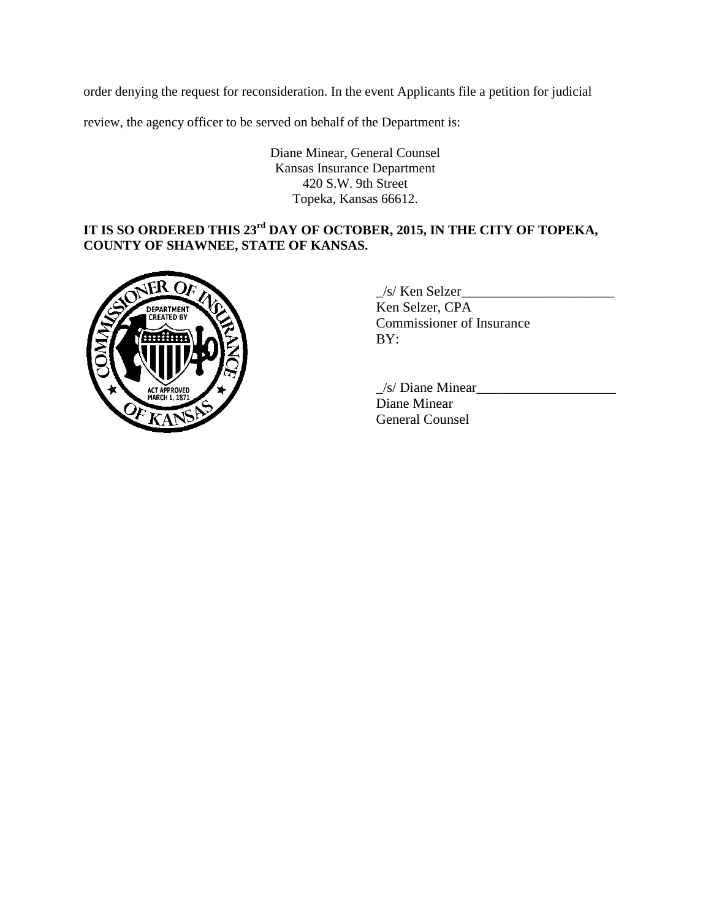order denying the request for reconsideration. In the event Applicants file a petition for judicial

review, the agency officer to be served on behalf of the Department is:

Diane Minear, General Counsel Kansas Insurance Department 420 S.W. 9th Street Topeka, Kansas 66612.

# **IT IS SO ORDERED THIS 23rd DAY OF OCTOBER, 2015, IN THE CITY OF TOPEKA, COUNTY OF SHAWNEE, STATE OF KANSAS.**



 $\angle$ s/ Ken Selzer $\angle$ Ken Selzer, CPA Commissioner of Insurance BY:

 $\angle$ s/ Diane Minear $\angle$ Diane Minear General Counsel